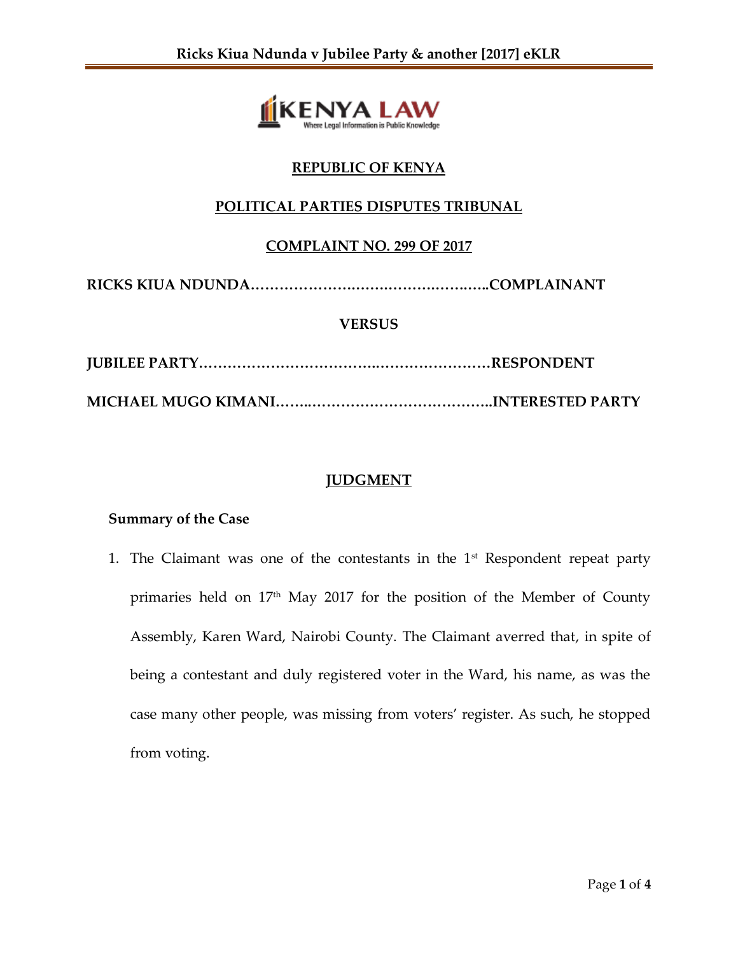

# **REPUBLIC OF KENYA**

# **POLITICAL PARTIES DISPUTES TRIBUNAL**

## **COMPLAINT NO. 299 OF 2017**

**RICKS KIUA NDUNDA………………….…….……….…….…..COMPLAINANT**

### **VERSUS**

**JUBILEE PARTY……………………………….……………………RESPONDENT**

**MICHAEL MUGO KIMANI……..………………………………..INTERESTED PARTY**

## **JUDGMENT**

### **Summary of the Case**

1. The Claimant was one of the contestants in the  $1<sup>st</sup>$  Respondent repeat party primaries held on 17<sup>th</sup> May 2017 for the position of the Member of County Assembly, Karen Ward, Nairobi County. The Claimant averred that, in spite of being a contestant and duly registered voter in the Ward, his name, as was the case many other people, was missing from voters' register. As such, he stopped from voting.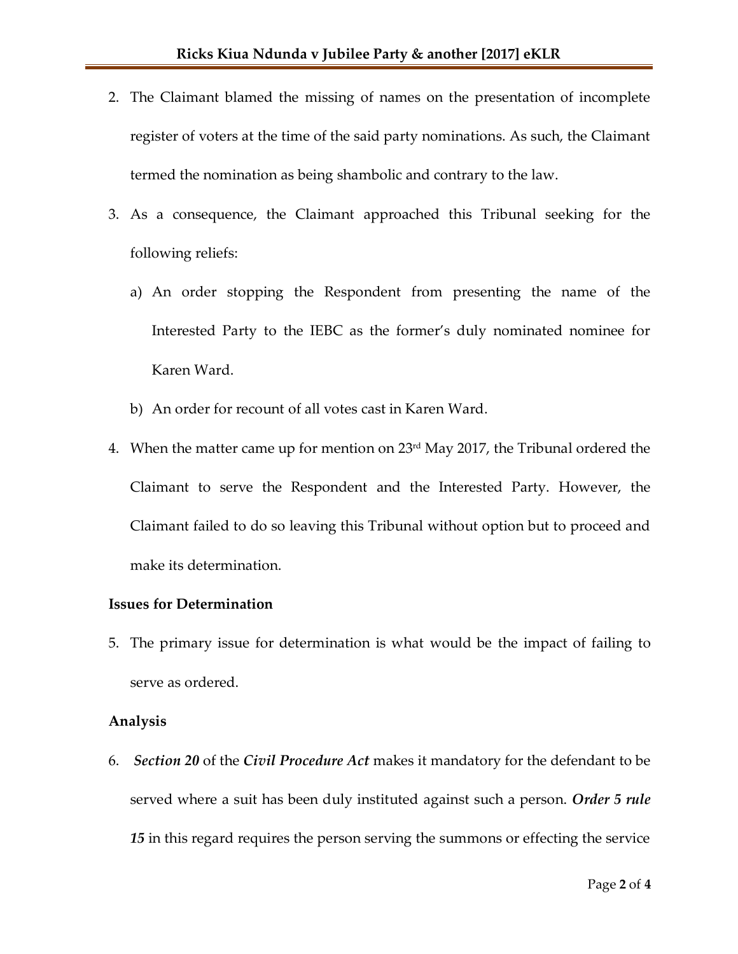- 2. The Claimant blamed the missing of names on the presentation of incomplete register of voters at the time of the said party nominations. As such, the Claimant termed the nomination as being shambolic and contrary to the law.
- 3. As a consequence, the Claimant approached this Tribunal seeking for the following reliefs:
	- a) An order stopping the Respondent from presenting the name of the Interested Party to the IEBC as the former's duly nominated nominee for Karen Ward.
	- b) An order for recount of all votes cast in Karen Ward.
- 4. When the matter came up for mention on  $23<sup>rd</sup>$  May 2017, the Tribunal ordered the Claimant to serve the Respondent and the Interested Party. However, the Claimant failed to do so leaving this Tribunal without option but to proceed and make its determination.

#### **Issues for Determination**

5. The primary issue for determination is what would be the impact of failing to serve as ordered.

### **Analysis**

6. *Section 20* of the *Civil Procedure Act* makes it mandatory for the defendant to be served where a suit has been duly instituted against such a person. *Order 5 rule 15* in this regard requires the person serving the summons or effecting the service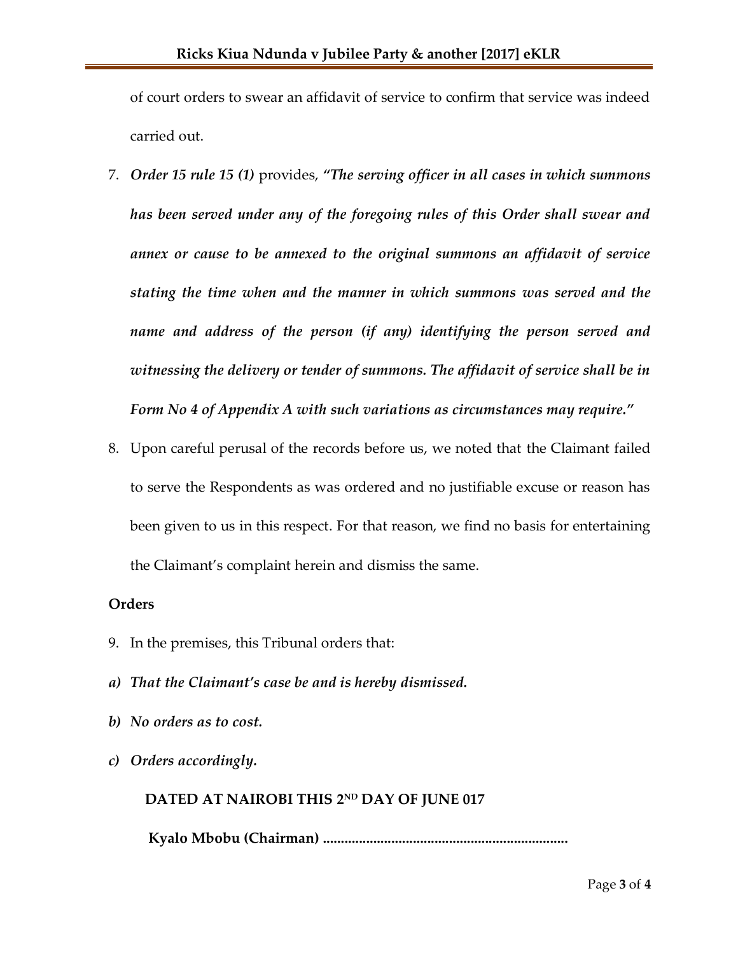of court orders to swear an affidavit of service to confirm that service was indeed carried out.

- 7. *Order 15 rule 15 (1)* provides, *"The serving officer in all cases in which summons has been served under any of the foregoing rules of this Order shall swear and annex or cause to be annexed to the original summons an affidavit of service stating the time when and the manner in which summons was served and the name and address of the person (if any) identifying the person served and witnessing the delivery or tender of summons. The affidavit of service shall be in Form No 4 of Appendix A with such variations as circumstances may require."*
- 8. Upon careful perusal of the records before us, we noted that the Claimant failed to serve the Respondents as was ordered and no justifiable excuse or reason has been given to us in this respect. For that reason, we find no basis for entertaining the Claimant's complaint herein and dismiss the same.

### **Orders**

- 9. In the premises, this Tribunal orders that:
- *a) That the Claimant's case be and is hereby dismissed.*
- *b) No orders as to cost.*
- *c) Orders accordingly.*

 **DATED AT NAIROBI THIS 2 ND DAY OF JUNE 017**

 **Kyalo Mbobu (Chairman) ....................................................................**